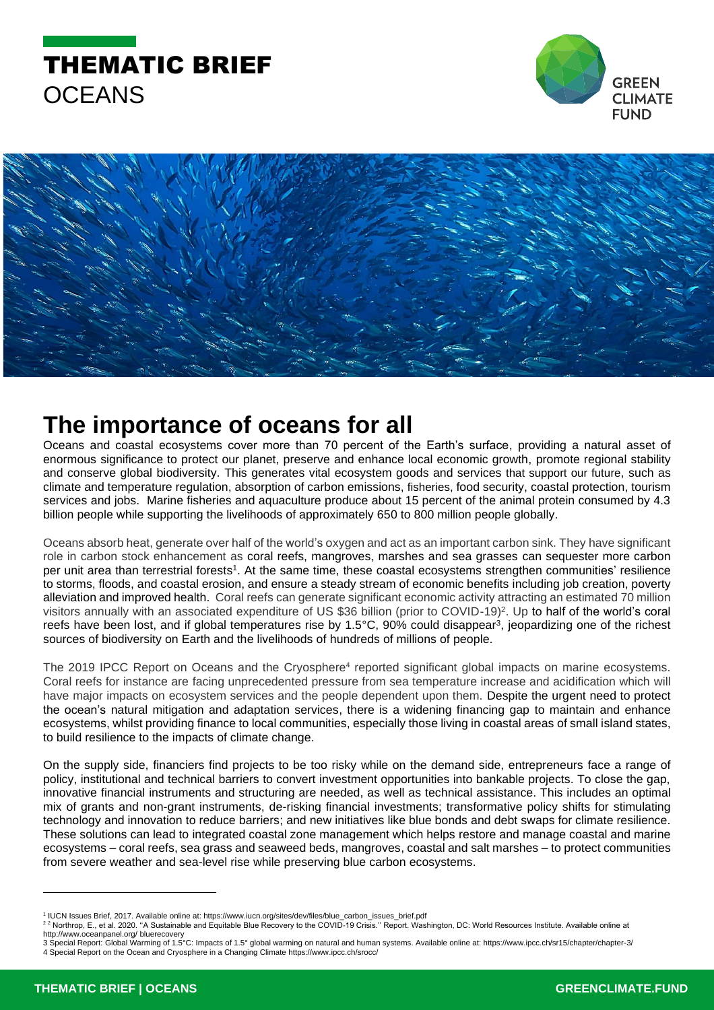





## **The importance of oceans for all**

Oceans and coastal ecosystems cover more than 70 percent of the Earth's surface, providing a natural asset of enormous significance to protect our planet, preserve and enhance local economic growth, promote regional stability and conserve global biodiversity. This generates vital ecosystem goods and services that support our future, such as climate and temperature regulation, absorption of carbon emissions, fisheries, food security, coastal protection, tourism services and jobs. Marine fisheries and aquaculture produce about 15 percent of the animal protein consumed by 4.3 billion people while supporting the livelihoods of approximately 650 to 800 million people globally.

Oceans absorb heat, generate over half of the world's oxygen and act as an important carbon sink. They have significant role in carbon stock enhancement as coral reefs, mangroves, marshes and sea grasses can sequester more carbon per unit area than terrestrial forests<sup>1</sup>. At the same time, these coastal ecosystems strengthen communities' resilience to storms, floods, and coastal erosion, and ensure a steady stream of economic benefits including job creation, poverty alleviation and improved health. Coral reefs can generate significant economic activity attracting an estimated 70 million visitors annually with an associated expenditure of US \$36 billion (prior to COVID-19)<sup>2</sup>. Up to half of the world's coral reefs have been lost, and if global temperatures rise by 1.5°C, 90% could disappear<sup>3</sup>, jeopardizing one of the richest sources of biodiversity on Earth and the livelihoods of hundreds of millions of people.

The 2019 IPCC Report on Oceans and the Cryosphere<sup>4</sup> reported significant global impacts on marine ecosystems. Coral reefs for instance are facing unprecedented pressure from sea temperature increase and acidification which will have major impacts on ecosystem services and the people dependent upon them. Despite the urgent need to protect the ocean's natural mitigation and adaptation services, there is a widening financing gap to maintain and enhance ecosystems, whilst providing finance to local communities, especially those living in coastal areas of small island states, to build resilience to the impacts of climate change.

On the supply side, financiers find projects to be too risky while on the demand side, entrepreneurs face a range of policy, institutional and technical barriers to convert investment opportunities into bankable projects. To close the gap, innovative financial instruments and structuring are needed, as well as technical assistance. This includes an optimal mix of grants and non-grant instruments, de-risking financial investments; transformative policy shifts for stimulating technology and innovation to reduce barriers; and new initiatives like blue bonds and debt swaps for climate resilience. These solutions can lead to integrated coastal zone management which helps restore and manage coastal and marine ecosystems – coral reefs, sea grass and seaweed beds, mangroves, coastal and salt marshes – to protect communities from severe weather and sea-level rise while preserving blue carbon ecosystems.

http://www.oceanpanel.org/ bluerecovery 3 Special Report: Global Warming of 1.5°C: Impacts of 1.5° global warming on natural and human systems. Available online at: https://www.ipcc.ch/sr15/chapter/chapter-3/ 4 Special Report on the Ocean and Cryosphere in a Changing Climate <https://www.ipcc.ch/srocc/>

<sup>1</sup> IUCN Issues Brief, 2017. Available online at: https://www.iucn.org/sites/dev/files/blue\_carbon\_issues\_brief.pdf

<sup>2</sup> <sup>2</sup> Northrop, E., et al. 2020. ''A Sustainable and Equitable Blue Recovery to the COVID-19 Crisis.'' Report. Washington, DC: World Resources Institute. Available online at